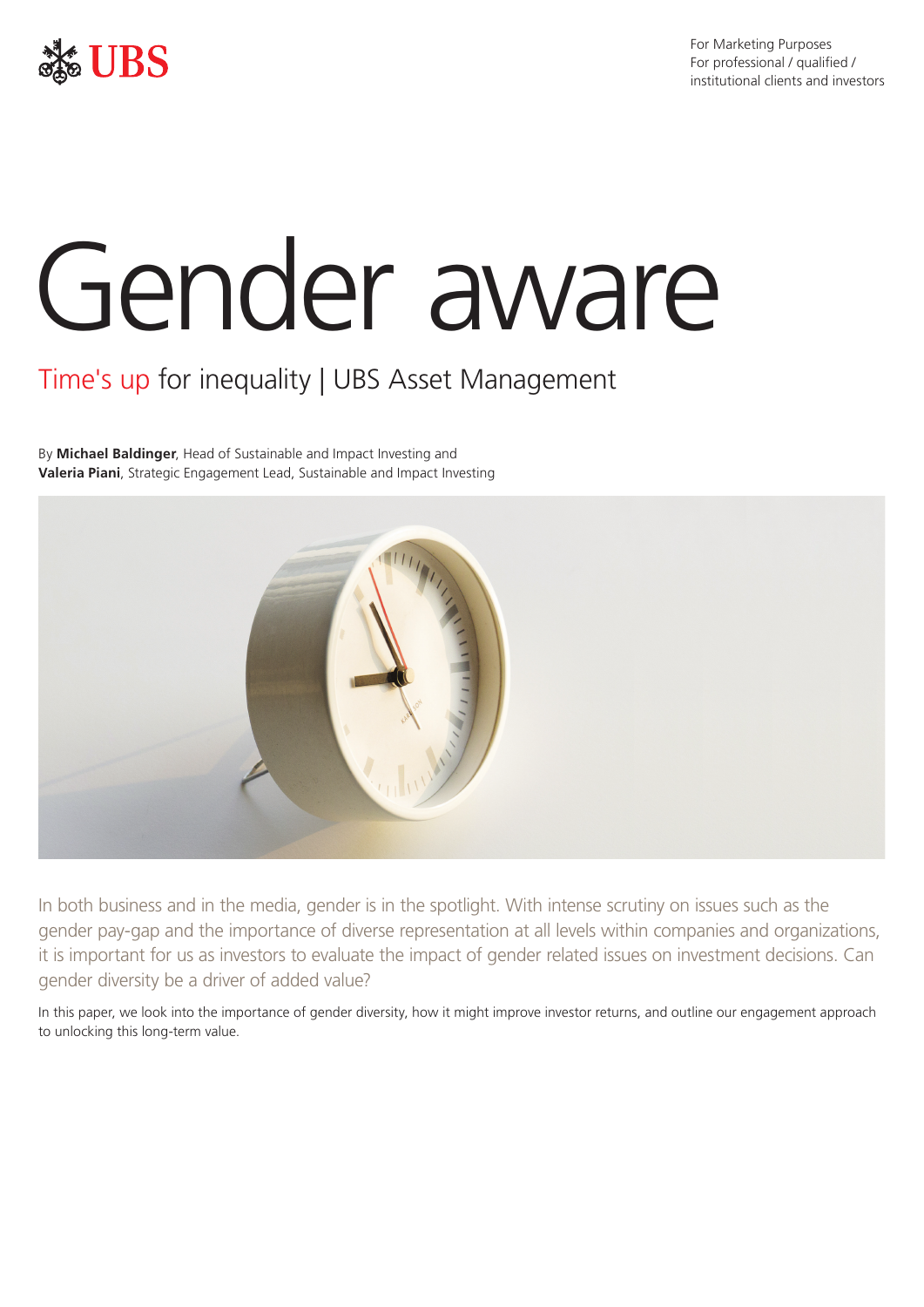

For Marketing Purposes For professional / qualified / institutional clients and investors

# Gender aware

# Time's up for inequality | UBS Asset Management

By **Michael Baldinger**, Head of Sustainable and Impact Investing and **Valeria Piani**, Strategic Engagement Lead, Sustainable and Impact Investing



In both business and in the media, gender is in the spotlight. With intense scrutiny on issues such as the gender pay-gap and the importance of diverse representation at all levels within companies and organizations, it is important for us as investors to evaluate the impact of gender related issues on investment decisions. Can gender diversity be a driver of added value?

In this paper, we look into the importance of gender diversity, how it might improve investor returns, and outline our engagement approach to unlocking this long-term value.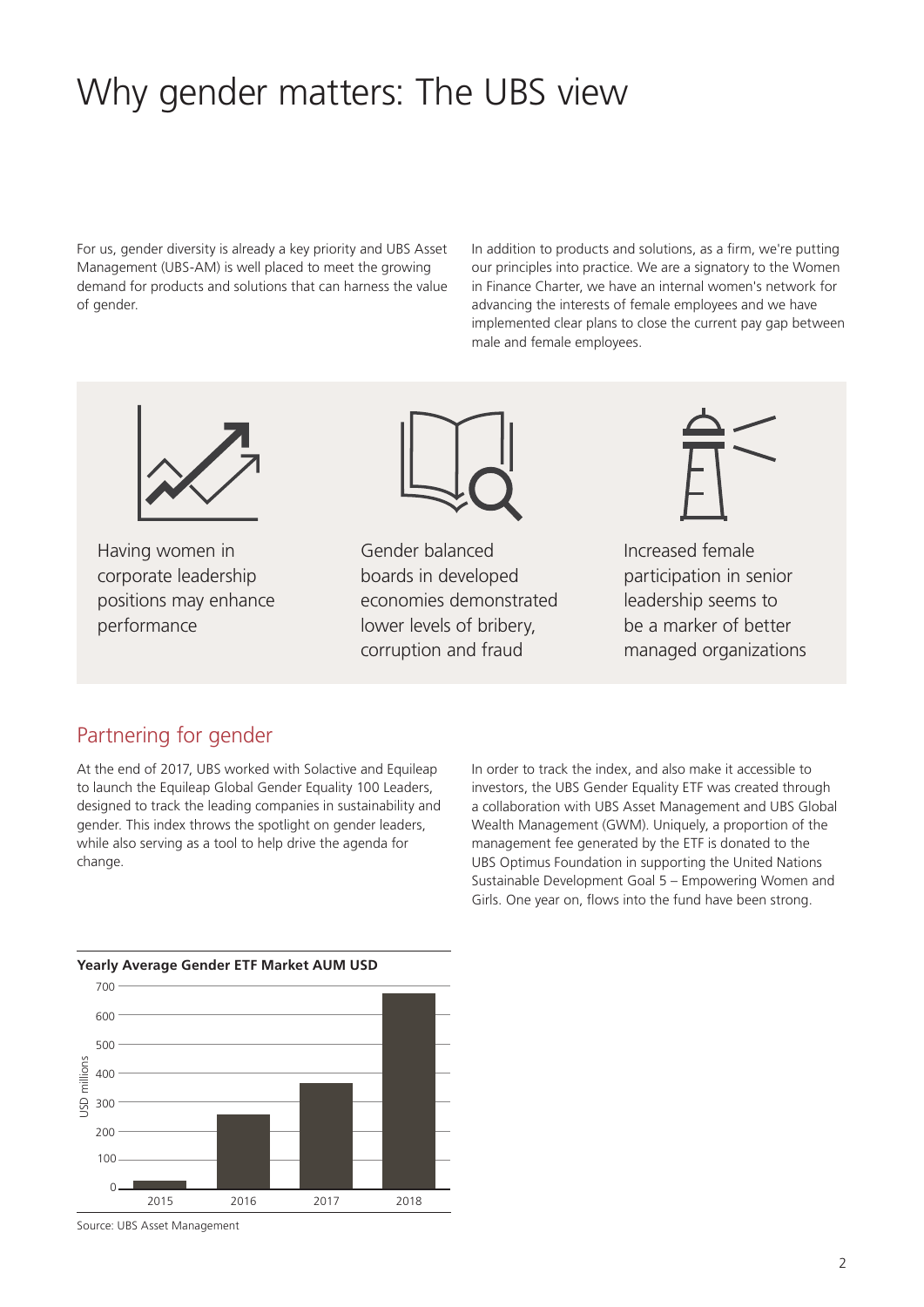# Why gender matters: The UBS view

For us, gender diversity is already a key priority and UBS Asset Management (UBS-AM) is well placed to meet the growing demand for products and solutions that can harness the value of gender.

In addition to products and solutions, as a firm, we're putting our principles into practice. We are a signatory to the Women in Finance Charter, we have an internal women's network for advancing the interests of female employees and we have implemented clear plans to close the current pay gap between male and female employees.



Having women in corporate leadership positions may enhance performance



Gender balanced boards in developed economies demonstrated lower levels of bribery, corruption and fraud



Increased female participation in senior leadership seems to be a marker of better managed organizations

#### Partnering for gender

At the end of 2017, UBS worked with Solactive and Equileap to launch the Equileap Global Gender Equality 100 Leaders, designed to track the leading companies in sustainability and gender. This index throws the spotlight on gender leaders, while also serving as a tool to help drive the agenda for change.

In order to track the index, and also make it accessible to investors, the UBS Gender Equality ETF was created through a collaboration with UBS Asset Management and UBS Global Wealth Management (GWM). Uniquely, a proportion of the management fee generated by the ETF is donated to the UBS Optimus Foundation in supporting the United Nations Sustainable Development Goal 5 – Empowering Women and Girls. One year on, flows into the fund have been strong.



Source: UBS Asset Management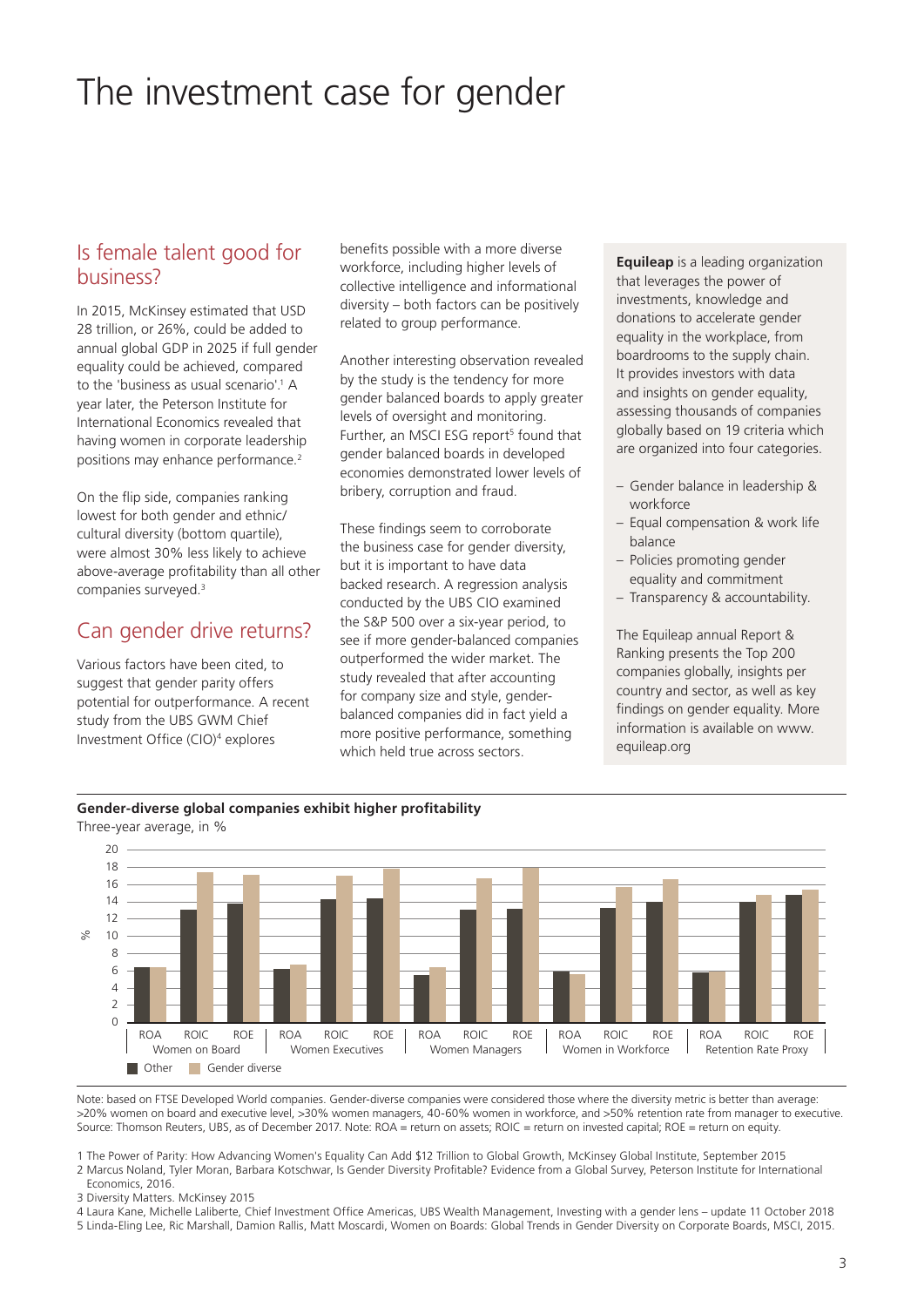# The investment case for gender

#### Is female talent good for business?

In 2015, McKinsey estimated that USD 28 trillion, or 26%, could be added to annual global GDP in 2025 if full gender equality could be achieved, compared to the 'business as usual scenario'.<sup>1</sup> A year later, the Peterson Institute for International Economics revealed that having women in corporate leadership positions may enhance performance.<sup>2</sup>

On the flip side, companies ranking lowest for both gender and ethnic/ cultural diversity (bottom quartile), were almost 30% less likely to achieve above-average profitability than all other companies surveyed.3

#### Can gender drive returns?

Various factors have been cited, to suggest that gender parity offers potential for outperformance. A recent study from the UBS GWM Chief Investment Office (CIO)4 explores

**Gender-diverse global companies exhibit higher profitability**

benefits possible with a more diverse workforce, including higher levels of collective intelligence and informational diversity – both factors can be positively related to group performance.

Another interesting observation revealed by the study is the tendency for more gender balanced boards to apply greater levels of oversight and monitoring. Further, an MSCI ESG report<sup>5</sup> found that gender balanced boards in developed economies demonstrated lower levels of bribery, corruption and fraud.

These findings seem to corroborate the business case for gender diversity, but it is important to have data backed research. A regression analysis conducted by the UBS CIO examined the S&P 500 over a six-year period, to see if more gender-balanced companies outperformed the wider market. The study revealed that after accounting for company size and style, genderbalanced companies did in fact yield a more positive performance, something which held true across sectors.

**Equileap** is a leading organization that leverages the power of investments, knowledge and donations to accelerate gender equality in the workplace, from boardrooms to the supply chain. It provides investors with data and insights on gender equality, assessing thousands of companies globally based on 19 criteria which are organized into four categories.

- Gender balance in leadership & workforce
- Equal compensation & work life balance
- Policies promoting gender equality and commitment
- Transparency & accountability.

The Equileap annual Report & Ranking presents the Top 200 companies globally, insights per country and sector, as well as key findings on gender equality. More information is available on www. equileap.org



Note: based on FTSE Developed World companies. Gender-diverse companies were considered those where the diversity metric is better than average: >20% women on board and executive level, >30% women managers, 40-60% women in workforce, and >50% retention rate from manager to executive. Source: Thomson Reuters, UBS, as of December 2017. Note: ROA = return on assets; ROIC = return on invested capital; ROE = return on equity.

1 The Power of Parity: How Advancing Women's Equality Can Add \$12 Trillion to Global Growth, McKinsey Global Institute, September 2015

2 Marcus Noland, Tyler Moran, Barbara Kotschwar, Is Gender Diversity Profitable? Evidence from a Global Survey, Peterson Institute for International Economics, 2016.

3 Diversity Matters. McKinsey 2015

4 Laura Kane, Michelle Laliberte, Chief Investment Office Americas, UBS Wealth Management, Investing with a gender lens – update 11 October 2018

5 Linda-Eling Lee, Ric Marshall, Damion Rallis, Matt Moscardi, Women on Boards: Global Trends in Gender Diversity on Corporate Boards, MSCI, 2015.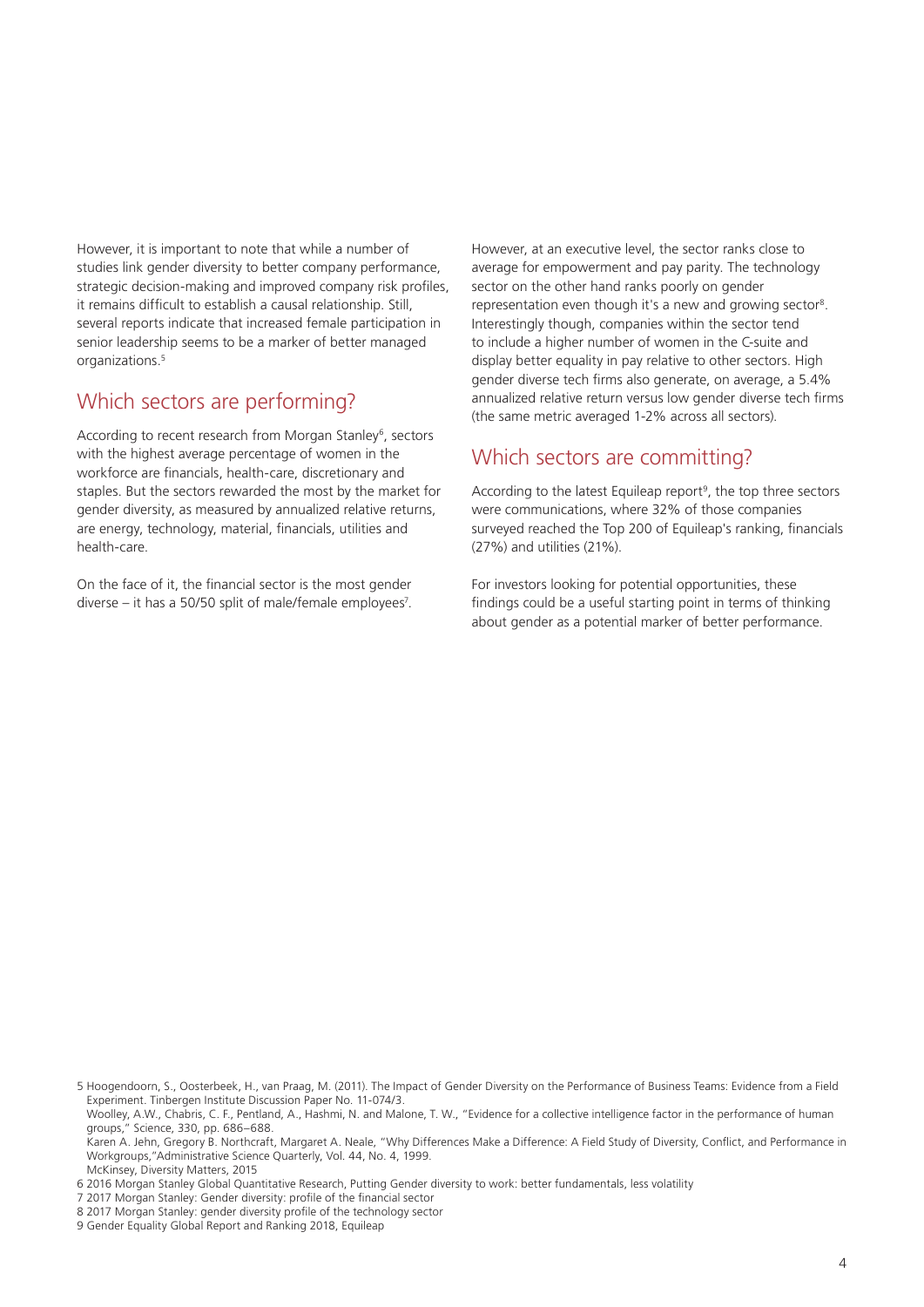However, it is important to note that while a number of studies link gender diversity to better company performance, strategic decision-making and improved company risk profiles, it remains difficult to establish a causal relationship. Still, several reports indicate that increased female participation in senior leadership seems to be a marker of better managed organizations.<sup>5</sup>

## Which sectors are performing?

According to recent research from Morgan Stanley<sup>6</sup>, sectors with the highest average percentage of women in the workforce are financials, health-care, discretionary and staples. But the sectors rewarded the most by the market for gender diversity, as measured by annualized relative returns, are energy, technology, material, financials, utilities and health-care.

On the face of it, the financial sector is the most gender diverse – it has a 50/50 split of male/female employees<sup>7</sup>. However, at an executive level, the sector ranks close to average for empowerment and pay parity. The technology sector on the other hand ranks poorly on gender representation even though it's a new and growing sector8. Interestingly though, companies within the sector tend to include a higher number of women in the C-suite and display better equality in pay relative to other sectors. High gender diverse tech firms also generate, on average, a 5.4% annualized relative return versus low gender diverse tech firms (the same metric averaged 1-2% across all sectors).

#### Which sectors are committing?

According to the latest Equileap report<sup>9</sup>, the top three sectors were communications, where 32% of those companies surveyed reached the Top 200 of Equileap's ranking, financials (27%) and utilities (21%).

For investors looking for potential opportunities, these findings could be a useful starting point in terms of thinking about gender as a potential marker of better performance.

5 Hoogendoorn, S., Oosterbeek, H., van Praag, M. (2011). The Impact of Gender Diversity on the Performance of Business Teams: Evidence from a Field Experiment. Tinbergen Institute Discussion Paper No. 11-074/3.

Woolley, A.W., Chabris, C. F., Pentland, A., Hashmi, N. and Malone, T. W., "Evidence for a collective intelligence factor in the performance of human groups," Science, 330, pp. 686–688.

Karen A. Jehn, Gregory B. Northcraft, Margaret A. Neale, "Why Differences Make a Difference: A Field Study of Diversity, Conflict, and Performance in Workgroups,"Administrative Science Quarterly, Vol. 44, No. 4, 1999. McKinsey, Diversity Matters, 2015

<sup>6 2016</sup> Morgan Stanley Global Quantitative Research, Putting Gender diversity to work: better fundamentals, less volatility

<sup>7 2017</sup> Morgan Stanley: Gender diversity: profile of the financial sector

<sup>8 2017</sup> Morgan Stanley: gender diversity profile of the technology sector

<sup>9</sup> Gender Equality Global Report and Ranking 2018, Equileap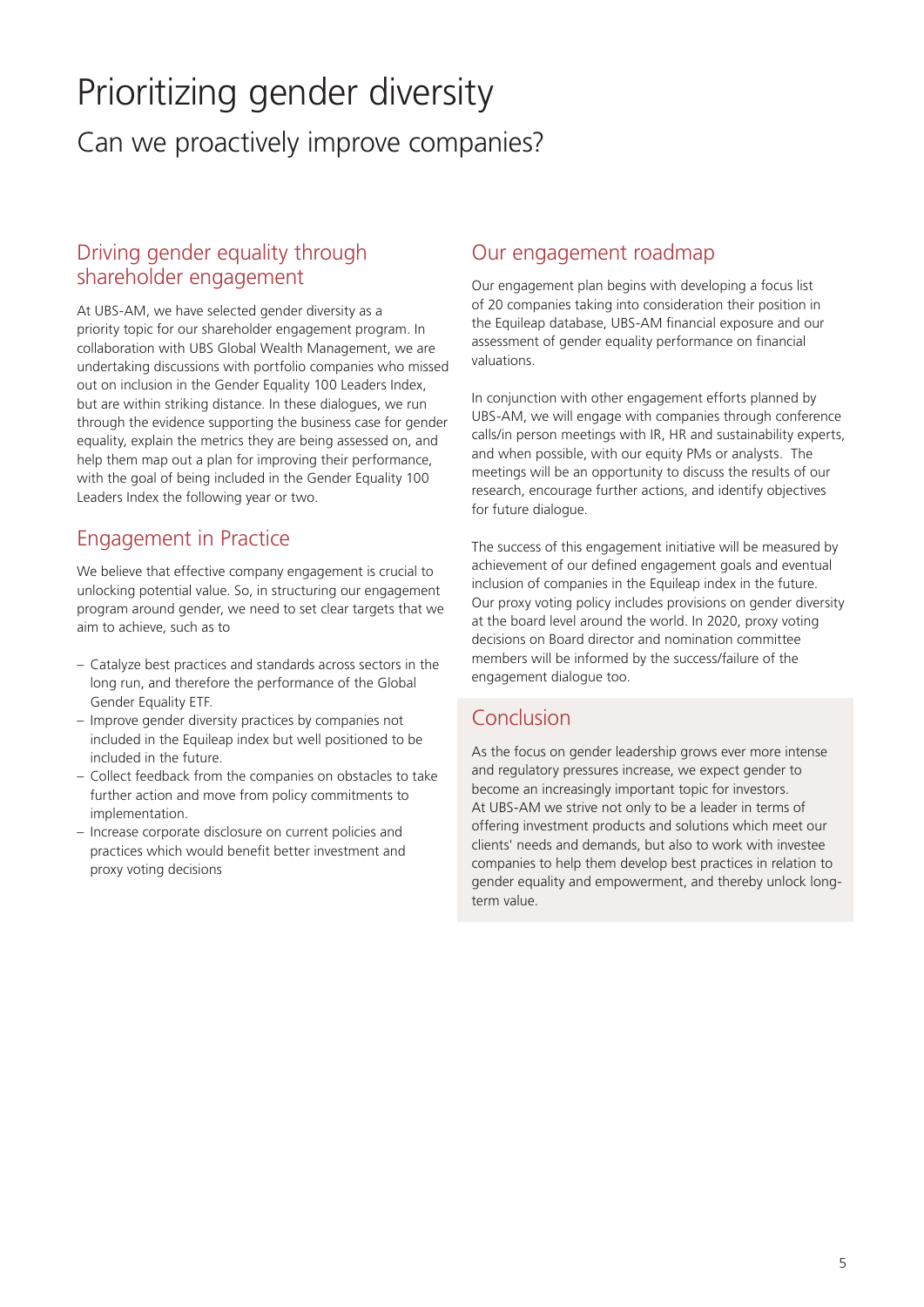# Prioritizing gender diversity Can we proactively improve companies?

## Driving gender equality through shareholder engagement

At UBS-AM, we have selected gender diversity as a priority topic for our shareholder engagement program. In collaboration with UBS Global Wealth Management, we are undertaking discussions with portfolio companies who missed out on inclusion in the Gender Equality 100 Leaders Index, but are within striking distance. In these dialogues, we run through the evidence supporting the business case for gender equality, explain the metrics they are being assessed on, and help them map out a plan for improving their performance, with the goal of being included in the Gender Equality 100 Leaders Index the following year or two.

## Engagement in Practice

We believe that effective company engagement is crucial to unlocking potential value. So, in structuring our engagement program around gender, we need to set clear targets that we aim to achieve, such as to

- Catalyze best practices and standards across sectors in the long run, and therefore the performance of the Global Gender Equality ETF.
- Improve gender diversity practices by companies not included in the Equileap index but well positioned to be included in the future.
- Collect feedback from the companies on obstacles to take further action and move from policy commitments to implementation.
- Increase corporate disclosure on current policies and practices which would benefit better investment and proxy voting decisions

## Our engagement roadmap

Our engagement plan begins with developing a focus list of 20 companies taking into consideration their position in the Equileap database, UBS-AM financial exposure and our assessment of gender equality performance on financial valuations.

In conjunction with other engagement efforts planned by UBS-AM, we will engage with companies through conference calls/in person meetings with IR, HR and sustainability experts, and when possible, with our equity PMs or analysts. The meetings will be an opportunity to discuss the results of our research, encourage further actions, and identify objectives for future dialogue.

The success of this engagement initiative will be measured by achievement of our defined engagement goals and eventual inclusion of companies in the Equileap index in the future. Our proxy voting policy includes provisions on gender diversity at the board level around the world. In 2020, proxy voting decisions on Board director and nomination committee members will be informed by the success/failure of the engagement dialogue too.

# Conclusion

As the focus on gender leadership grows ever more intense and regulatory pressures increase, we expect gender to become an increasingly important topic for investors. At UBS-AM we strive not only to be a leader in terms of offering investment products and solutions which meet our clients' needs and demands, but also to work with investee companies to help them develop best practices in relation to gender equality and empowerment, and thereby unlock longterm value.